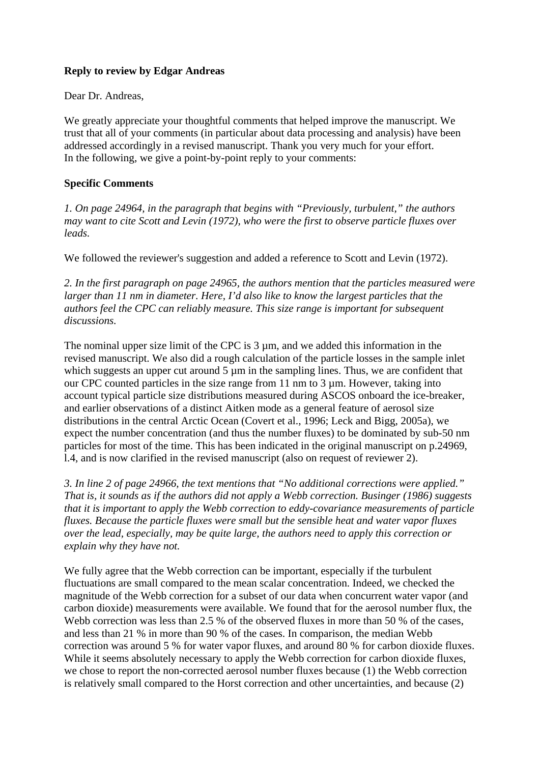# **Reply to review by Edgar Andreas**

Dear Dr. Andreas,

We greatly appreciate your thoughtful comments that helped improve the manuscript. We trust that all of your comments (in particular about data processing and analysis) have been addressed accordingly in a revised manuscript. Thank you very much for your effort. In the following, we give a point-by-point reply to your comments:

## **Specific Comments**

*1. On page 24964, in the paragraph that begins with "Previously, turbulent," the authors may want to cite Scott and Levin (1972), who were the first to observe particle fluxes over leads.* 

We followed the reviewer's suggestion and added a reference to Scott and Levin (1972).

*2. In the first paragraph on page 24965, the authors mention that the particles measured were larger than 11 nm in diameter. Here, I'd also like to know the largest particles that the authors feel the CPC can reliably measure. This size range is important for subsequent discussions.* 

The nominal upper size limit of the CPC is 3 µm, and we added this information in the revised manuscript. We also did a rough calculation of the particle losses in the sample inlet which suggests an upper cut around 5 µm in the sampling lines. Thus, we are confident that our CPC counted particles in the size range from  $11 \text{ nm}$  to  $3 \mu \text{m}$ . However, taking into account typical particle size distributions measured during ASCOS onboard the ice-breaker, and earlier observations of a distinct Aitken mode as a general feature of aerosol size distributions in the central Arctic Ocean (Covert et al., 1996; Leck and Bigg, 2005a), we expect the number concentration (and thus the number fluxes) to be dominated by sub-50 nm particles for most of the time. This has been indicated in the original manuscript on p.24969, l.4, and is now clarified in the revised manuscript (also on request of reviewer 2).

*3. In line 2 of page 24966, the text mentions that "No additional corrections were applied." That is, it sounds as if the authors did not apply a Webb correction. Businger (1986) suggests that it is important to apply the Webb correction to eddy-covariance measurements of particle fluxes. Because the particle fluxes were small but the sensible heat and water vapor fluxes over the lead, especially, may be quite large, the authors need to apply this correction or explain why they have not.* 

We fully agree that the Webb correction can be important, especially if the turbulent fluctuations are small compared to the mean scalar concentration. Indeed, we checked the magnitude of the Webb correction for a subset of our data when concurrent water vapor (and carbon dioxide) measurements were available. We found that for the aerosol number flux, the Webb correction was less than 2.5 % of the observed fluxes in more than 50 % of the cases, and less than 21 % in more than 90 % of the cases. In comparison, the median Webb correction was around 5 % for water vapor fluxes, and around 80 % for carbon dioxide fluxes. While it seems absolutely necessary to apply the Webb correction for carbon dioxide fluxes, we chose to report the non-corrected aerosol number fluxes because (1) the Webb correction is relatively small compared to the Horst correction and other uncertainties, and because (2)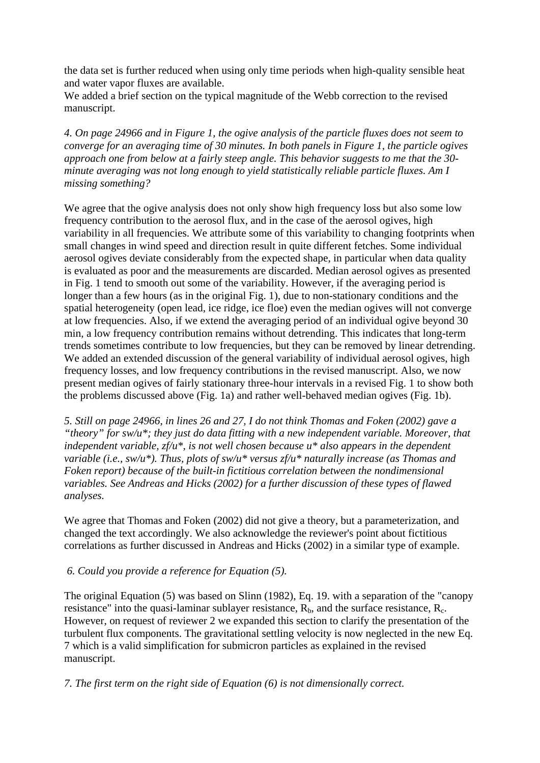the data set is further reduced when using only time periods when high-quality sensible heat and water vapor fluxes are available.

We added a brief section on the typical magnitude of the Webb correction to the revised manuscript.

*4. On page 24966 and in Figure 1, the ogive analysis of the particle fluxes does not seem to converge for an averaging time of 30 minutes. In both panels in Figure 1, the particle ogives approach one from below at a fairly steep angle. This behavior suggests to me that the 30 minute averaging was not long enough to yield statistically reliable particle fluxes. Am I missing something?* 

We agree that the ogive analysis does not only show high frequency loss but also some low frequency contribution to the aerosol flux, and in the case of the aerosol ogives, high variability in all frequencies. We attribute some of this variability to changing footprints when small changes in wind speed and direction result in quite different fetches. Some individual aerosol ogives deviate considerably from the expected shape, in particular when data quality is evaluated as poor and the measurements are discarded. Median aerosol ogives as presented in Fig. 1 tend to smooth out some of the variability. However, if the averaging period is longer than a few hours (as in the original Fig. 1), due to non-stationary conditions and the spatial heterogeneity (open lead, ice ridge, ice floe) even the median ogives will not converge at low frequencies. Also, if we extend the averaging period of an individual ogive beyond 30 min, a low frequency contribution remains without detrending. This indicates that long-term trends sometimes contribute to low frequencies, but they can be removed by linear detrending. We added an extended discussion of the general variability of individual aerosol ogives, high frequency losses, and low frequency contributions in the revised manuscript. Also, we now present median ogives of fairly stationary three-hour intervals in a revised Fig. 1 to show both the problems discussed above (Fig. 1a) and rather well-behaved median ogives (Fig. 1b).

*5. Still on page 24966, in lines 26 and 27, I do not think Thomas and Foken (2002) gave a "theory" for sw/u\*; they just do data fitting with a new independent variable. Moreover, that independent variable, zf/u\*, is not well chosen because u\* also appears in the dependent variable (i.e., sw/u\*). Thus, plots of sw/u\* versus zf/u\* naturally increase (as Thomas and Foken report) because of the built-in fictitious correlation between the nondimensional variables. See Andreas and Hicks (2002) for a further discussion of these types of flawed analyses.* 

We agree that Thomas and Foken (2002) did not give a theory, but a parameterization, and changed the text accordingly. We also acknowledge the reviewer's point about fictitious correlations as further discussed in Andreas and Hicks (2002) in a similar type of example.

#### *6. Could you provide a reference for Equation (5).*

The original Equation (5) was based on Slinn (1982), Eq. 19. with a separation of the "canopy resistance" into the quasi-laminar sublayer resistance,  $R_b$ , and the surface resistance,  $R_c$ . However, on request of reviewer 2 we expanded this section to clarify the presentation of the turbulent flux components. The gravitational settling velocity is now neglected in the new Eq. 7 which is a valid simplification for submicron particles as explained in the revised manuscript.

*7. The first term on the right side of Equation (6) is not dimensionally correct.*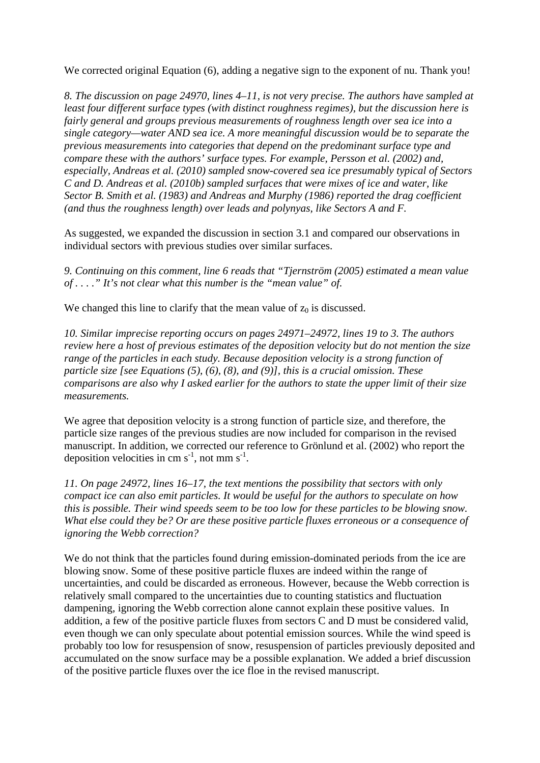We corrected original Equation (6), adding a negative sign to the exponent of nu. Thank you!

*8. The discussion on page 24970, lines 4–11, is not very precise. The authors have sampled at least four different surface types (with distinct roughness regimes), but the discussion here is fairly general and groups previous measurements of roughness length over sea ice into a single category—water AND sea ice. A more meaningful discussion would be to separate the previous measurements into categories that depend on the predominant surface type and compare these with the authors' surface types. For example, Persson et al. (2002) and, especially, Andreas et al. (2010) sampled snow-covered sea ice presumably typical of Sectors C and D. Andreas et al. (2010b) sampled surfaces that were mixes of ice and water, like Sector B. Smith et al. (1983) and Andreas and Murphy (1986) reported the drag coefficient (and thus the roughness length) over leads and polynyas, like Sectors A and F.* 

As suggested, we expanded the discussion in section 3.1 and compared our observations in individual sectors with previous studies over similar surfaces.

*9. Continuing on this comment, line 6 reads that "Tjernström (2005) estimated a mean value of . . . ." It's not clear what this number is the "mean value" of.* 

We changed this line to clarify that the mean value of  $z_0$  is discussed.

*10. Similar imprecise reporting occurs on pages 24971–24972, lines 19 to 3. The authors review here a host of previous estimates of the deposition velocity but do not mention the size range of the particles in each study. Because deposition velocity is a strong function of particle size [see Equations (5), (6), (8), and (9)], this is a crucial omission. These comparisons are also why I asked earlier for the authors to state the upper limit of their size measurements.* 

We agree that deposition velocity is a strong function of particle size, and therefore, the particle size ranges of the previous studies are now included for comparison in the revised manuscript. In addition, we corrected our reference to Grönlund et al. (2002) who report the deposition velocities in cm  $s^{-1}$ , not mm  $s^{-1}$ .

*11. On page 24972, lines 16–17, the text mentions the possibility that sectors with only compact ice can also emit particles. It would be useful for the authors to speculate on how this is possible. Their wind speeds seem to be too low for these particles to be blowing snow. What else could they be? Or are these positive particle fluxes erroneous or a consequence of ignoring the Webb correction?* 

We do not think that the particles found during emission-dominated periods from the ice are blowing snow. Some of these positive particle fluxes are indeed within the range of uncertainties, and could be discarded as erroneous. However, because the Webb correction is relatively small compared to the uncertainties due to counting statistics and fluctuation dampening, ignoring the Webb correction alone cannot explain these positive values. In addition, a few of the positive particle fluxes from sectors C and D must be considered valid, even though we can only speculate about potential emission sources. While the wind speed is probably too low for resuspension of snow, resuspension of particles previously deposited and accumulated on the snow surface may be a possible explanation. We added a brief discussion of the positive particle fluxes over the ice floe in the revised manuscript.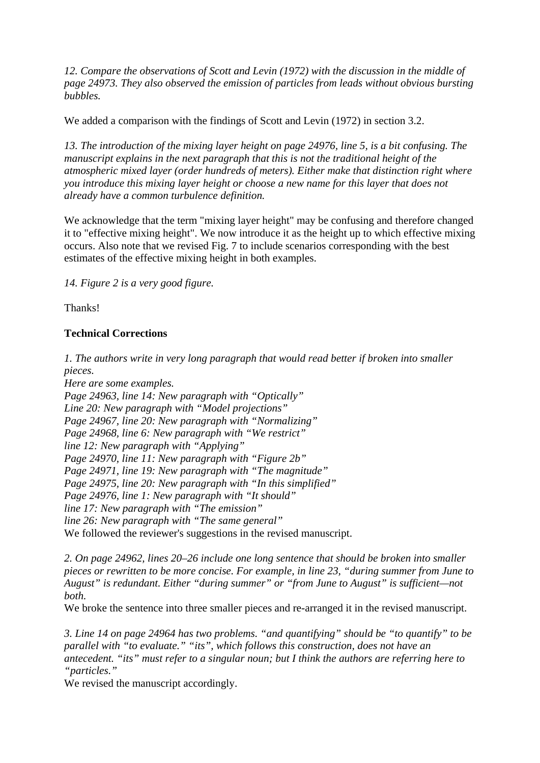*12. Compare the observations of Scott and Levin (1972) with the discussion in the middle of page 24973. They also observed the emission of particles from leads without obvious bursting bubbles.* 

We added a comparison with the findings of Scott and Levin (1972) in section 3.2.

*13. The introduction of the mixing layer height on page 24976, line 5, is a bit confusing. The manuscript explains in the next paragraph that this is not the traditional height of the atmospheric mixed layer (order hundreds of meters). Either make that distinction right where you introduce this mixing layer height or choose a new name for this layer that does not already have a common turbulence definition.* 

We acknowledge that the term "mixing layer height" may be confusing and therefore changed it to "effective mixing height". We now introduce it as the height up to which effective mixing occurs. Also note that we revised Fig. 7 to include scenarios corresponding with the best estimates of the effective mixing height in both examples.

*14. Figure 2 is a very good figure.* 

Thanks!

### **Technical Corrections**

*1. The authors write in very long paragraph that would read better if broken into smaller pieces.* 

*Here are some examples. Page 24963, line 14: New paragraph with "Optically" Line 20: New paragraph with "Model projections" Page 24967, line 20: New paragraph with "Normalizing" Page 24968, line 6: New paragraph with "We restrict" line 12: New paragraph with "Applying" Page 24970, line 11: New paragraph with "Figure 2b" Page 24971, line 19: New paragraph with "The magnitude" Page 24975, line 20: New paragraph with "In this simplified" Page 24976, line 1: New paragraph with "It should" line 17: New paragraph with "The emission" line 26: New paragraph with "The same general"*  We followed the reviewer's suggestions in the revised manuscript.

*2. On page 24962, lines 20–26 include one long sentence that should be broken into smaller pieces or rewritten to be more concise. For example, in line 23, "during summer from June to August" is redundant. Either "during summer" or "from June to August" is sufficient—not both.* 

We broke the sentence into three smaller pieces and re-arranged it in the revised manuscript.

*3. Line 14 on page 24964 has two problems. "and quantifying" should be "to quantify" to be parallel with "to evaluate." "its", which follows this construction, does not have an antecedent. "its" must refer to a singular noun; but I think the authors are referring here to "particles."* 

We revised the manuscript accordingly.